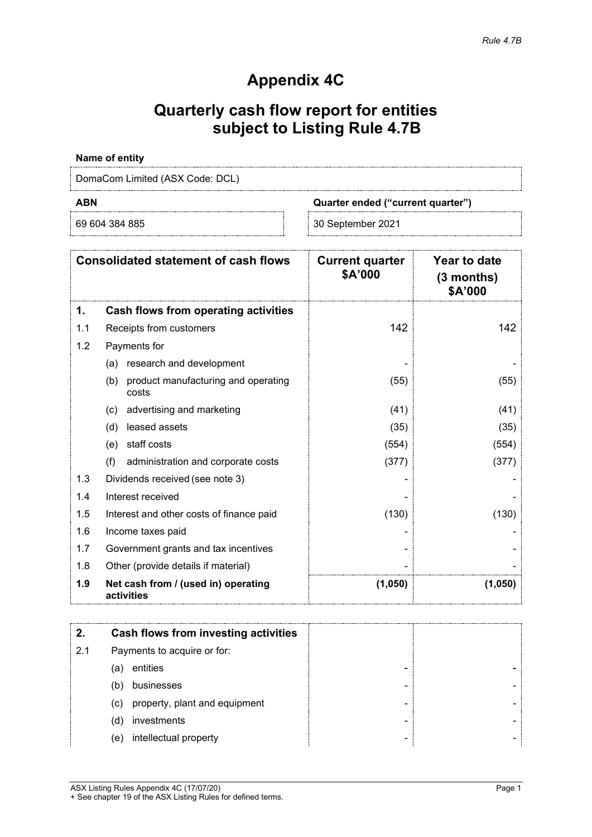## **Appendix 4C**

# **Quarterly cash flow report for entities subject to Listing Rule 4.7B**

### **Name of entity**

DomaCom Limited (ASX Code: DCL)

**ABN Quarter ended ("current quarter")**

69 604 384 885 30 September 2021

| <b>Consolidated statement of cash flows</b><br>1.<br>Cash flows from operating activities |                                                     | <b>Current quarter</b><br>\$A'000 | Year to date<br>(3 months)<br>\$A'000 |
|-------------------------------------------------------------------------------------------|-----------------------------------------------------|-----------------------------------|---------------------------------------|
|                                                                                           |                                                     |                                   |                                       |
| 1.1                                                                                       | Receipts from customers                             | 142                               | 142                                   |
| 1.2                                                                                       | Payments for                                        |                                   |                                       |
|                                                                                           | research and development<br>(a)                     |                                   |                                       |
|                                                                                           | product manufacturing and operating<br>(b)<br>costs | (55)                              | (55)                                  |
|                                                                                           | advertising and marketing<br>(c)                    | (41)                              | (41)                                  |
|                                                                                           | leased assets<br>(d)                                | (35)                              | (35)                                  |
|                                                                                           | staff costs<br>(e)                                  | (554)                             | (554)                                 |
|                                                                                           | (f)<br>administration and corporate costs           | (377)                             | (377)                                 |
| 1.3                                                                                       | Dividends received (see note 3)                     |                                   |                                       |
| 1.4                                                                                       | Interest received                                   |                                   |                                       |
| 1.5                                                                                       | Interest and other costs of finance paid            | (130)                             | (130)                                 |
| 1.6                                                                                       | Income taxes paid                                   |                                   |                                       |
| 1.7                                                                                       | Government grants and tax incentives                |                                   |                                       |
| 1.8                                                                                       | Other (provide details if material)                 |                                   |                                       |
| 1.9                                                                                       | Net cash from / (used in) operating<br>activities   | (1,050)                           | (1,050)                               |

|     | Cash flows from investing activities |
|-----|--------------------------------------|
| 2.1 | Payments to acquire or for:          |
|     | entities<br>(a                       |
|     | businesses<br>'b                     |
|     | property, plant and equipment<br>(C) |
|     | investments<br>(d)                   |
|     | intellectual property<br>(e)         |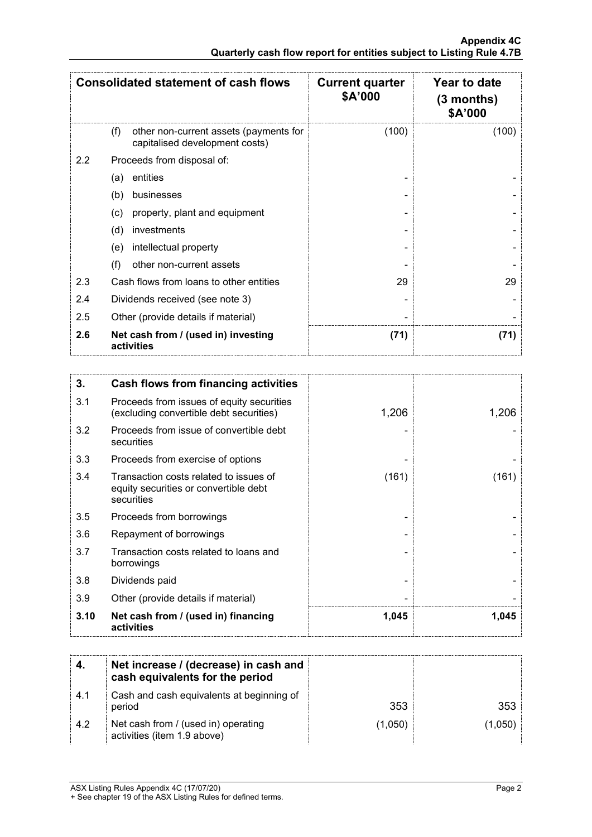| <b>Consolidated statement of cash flows</b> |                                                                                 | <b>Current quarter</b><br>\$A'000 | Year to date<br>(3 months)<br>\$A'000 |
|---------------------------------------------|---------------------------------------------------------------------------------|-----------------------------------|---------------------------------------|
|                                             | other non-current assets (payments for<br>(f)<br>capitalised development costs) | (100)                             | (100)                                 |
| 2.2                                         | Proceeds from disposal of:                                                      |                                   |                                       |
|                                             | entities<br>(a)                                                                 |                                   |                                       |
|                                             | (b)<br>businesses                                                               |                                   |                                       |
|                                             | property, plant and equipment<br>(c)                                            |                                   |                                       |
|                                             | (d)<br>investments                                                              |                                   |                                       |
|                                             | intellectual property<br>(e)                                                    |                                   |                                       |
|                                             | (f)<br>other non-current assets                                                 |                                   |                                       |
| 2.3                                         | Cash flows from loans to other entities                                         | 29                                | 29                                    |
| 2.4                                         | Dividends received (see note 3)                                                 |                                   |                                       |
| 2.5                                         | Other (provide details if material)                                             |                                   |                                       |
| 2.6                                         | Net cash from / (used in) investing<br>activities                               | (71)                              | (71)                                  |

| 3.   | Cash flows from financing activities                                                          |       |       |
|------|-----------------------------------------------------------------------------------------------|-------|-------|
| 3.1  | Proceeds from issues of equity securities<br>(excluding convertible debt securities)          | 1,206 | 1,206 |
| 3.2  | Proceeds from issue of convertible debt<br>securities                                         |       |       |
| 3.3  | Proceeds from exercise of options                                                             |       |       |
| 3.4  | Transaction costs related to issues of<br>equity securities or convertible debt<br>securities | (161) | (161) |
| 3.5  | Proceeds from borrowings                                                                      |       |       |
| 3.6  | Repayment of borrowings                                                                       |       |       |
| 3.7  | Transaction costs related to loans and<br>borrowings                                          |       |       |
| 3.8  | Dividends paid                                                                                |       |       |
| 3.9  | Other (provide details if material)                                                           |       |       |
| 3.10 | Net cash from / (used in) financing<br>activities                                             | 1,045 | 1,045 |

|      | Net increase / (decrease) in cash and<br>cash equivalents for the period |         |       |
|------|--------------------------------------------------------------------------|---------|-------|
| -4.1 | Cash and cash equivalents at beginning of<br>period                      | 353     | 353   |
| 4.2  | Net cash from / (used in) operating<br>activities (item 1.9 above)       | (1.050) | 1.050 |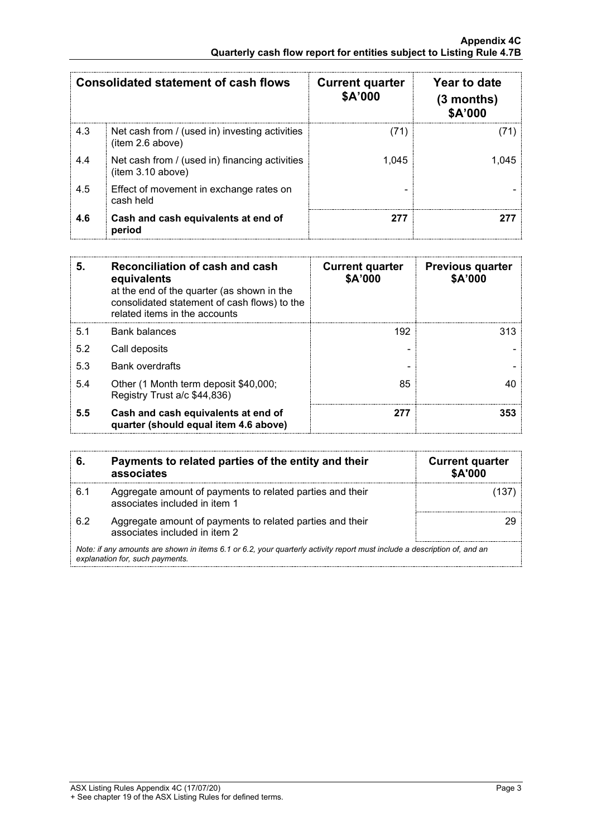| <b>Consolidated statement of cash flows</b> |                                                                     | <b>Current quarter</b><br>\$A'000 | Year to date<br>$(3$ months)<br>\$A'000 |
|---------------------------------------------|---------------------------------------------------------------------|-----------------------------------|-----------------------------------------|
| 4.3                                         | Net cash from / (used in) investing activities<br>(item 2.6 above)  | 711                               |                                         |
| 4.4                                         | Net cash from / (used in) financing activities<br>(item 3.10 above) | 1.045                             |                                         |
| 4.5                                         | Effect of movement in exchange rates on<br>cash held                |                                   |                                         |
| 4.6                                         | Cash and cash equivalents at end of<br>period                       | 277                               |                                         |

| 5.  | Reconciliation of cash and cash<br>equivalents<br>at the end of the quarter (as shown in the<br>consolidated statement of cash flows) to the<br>related items in the accounts | <b>Current quarter</b><br>\$A'000 | <b>Previous quarter</b><br>\$A'000 |
|-----|-------------------------------------------------------------------------------------------------------------------------------------------------------------------------------|-----------------------------------|------------------------------------|
| 5.1 | <b>Bank balances</b>                                                                                                                                                          | 192                               | 313.                               |
| 5.2 | Call deposits                                                                                                                                                                 |                                   |                                    |
| 5.3 | <b>Bank overdrafts</b>                                                                                                                                                        |                                   |                                    |
| 5.4 | Other (1 Month term deposit \$40,000;<br>Registry Trust a/c \$44,836)                                                                                                         | 85                                |                                    |
| 5.5 | Cash and cash equivalents at end of<br>quarter (should equal item 4.6 above)                                                                                                  | 277                               | 353                                |

|     | Payments to related parties of the entity and their<br>associates                                                                                           | <b>Current quarter</b><br><b>\$A'000</b> |
|-----|-------------------------------------------------------------------------------------------------------------------------------------------------------------|------------------------------------------|
| 6.1 | Aggregate amount of payments to related parties and their<br>associates included in item 1                                                                  |                                          |
| 62  | Aggregate amount of payments to related parties and their<br>associates included in item 2                                                                  |                                          |
|     | Note: if any amounts are shown in items 6.1 or 6.2, your quarterly activity report must include a description of, and an<br>explanation for, such payments. |                                          |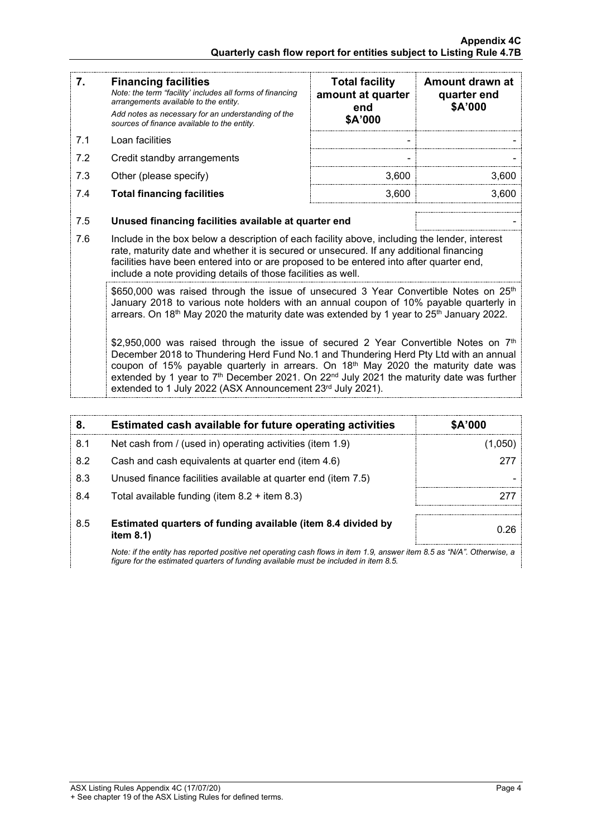| 7.  | <b>Financing facilities</b><br>Note: the term "facility' includes all forms of financing<br>arrangements available to the entity.<br>Add notes as necessary for an understanding of the<br>sources of finance available to the entity.                                                                                                                                                                                                                             | <b>Total facility</b><br>amount at quarter<br>end<br>\$A'000 | Amount drawn at<br>quarter end<br>\$A'000 |  |
|-----|--------------------------------------------------------------------------------------------------------------------------------------------------------------------------------------------------------------------------------------------------------------------------------------------------------------------------------------------------------------------------------------------------------------------------------------------------------------------|--------------------------------------------------------------|-------------------------------------------|--|
| 7.1 | Loan facilities                                                                                                                                                                                                                                                                                                                                                                                                                                                    |                                                              |                                           |  |
| 7.2 | Credit standby arrangements                                                                                                                                                                                                                                                                                                                                                                                                                                        |                                                              |                                           |  |
| 7.3 | Other (please specify)                                                                                                                                                                                                                                                                                                                                                                                                                                             | 3,600                                                        | 3,600                                     |  |
| 7.4 | <b>Total financing facilities</b>                                                                                                                                                                                                                                                                                                                                                                                                                                  | 3,600                                                        | 3,600                                     |  |
|     |                                                                                                                                                                                                                                                                                                                                                                                                                                                                    |                                                              |                                           |  |
| 7.5 | Unused financing facilities available at quarter end                                                                                                                                                                                                                                                                                                                                                                                                               |                                                              |                                           |  |
| 7.6 | Include in the box below a description of each facility above, including the lender, interest<br>rate, maturity date and whether it is secured or unsecured. If any additional financing<br>facilities have been entered into or are proposed to be entered into after quarter end,<br>include a note providing details of those facilities as well.                                                                                                               |                                                              |                                           |  |
|     | \$650,000 was raised through the issue of unsecured 3 Year Convertible Notes on 25 <sup>th</sup><br>January 2018 to various note holders with an annual coupon of 10% payable quarterly in<br>arrears. On 18 <sup>th</sup> May 2020 the maturity date was extended by 1 year to 25 <sup>th</sup> January 2022.                                                                                                                                                     |                                                              |                                           |  |
|     | \$2,950,000 was raised through the issue of secured 2 Year Convertible Notes on $7th$<br>December 2018 to Thundering Herd Fund No.1 and Thundering Herd Pty Ltd with an annual<br>coupon of 15% payable quarterly in arrears. On 18 <sup>th</sup> May 2020 the maturity date was<br>extended by 1 year to 7 <sup>th</sup> December 2021. On 22 <sup>nd</sup> July 2021 the maturity date was further<br>extended to 1 July 2022 (ASX Announcement 23rd July 2021). |                                                              |                                           |  |

| 8.  | Estimated cash available for future operating activities                                                                                                 | \$A'000 |
|-----|----------------------------------------------------------------------------------------------------------------------------------------------------------|---------|
| 8.1 | Net cash from / (used in) operating activities (item 1.9)                                                                                                | .050    |
| 8.2 | Cash and cash equivalents at quarter end (item 4.6)                                                                                                      | 277     |
| 8.3 | Unused finance facilities available at quarter end (item 7.5)                                                                                            |         |
| 8.4 | Total available funding (item $8.2 +$ item $8.3$ )                                                                                                       |         |
| 8.5 | Estimated quarters of funding available (item 8.4 divided by<br>item $8.1$ )                                                                             | በ 26    |
|     | Alete: With a could change out also also a consideration of a considered $\Lambda$ and consideration $\Lambda$ . The constant of a constant of $\Lambda$ |         |

*Note: if the entity has reported positive net operating cash flows in item 1.9, answer item 8.5 as "N/A". Otherwise, a figure for the estimated quarters of funding available must be included in item 8.5.*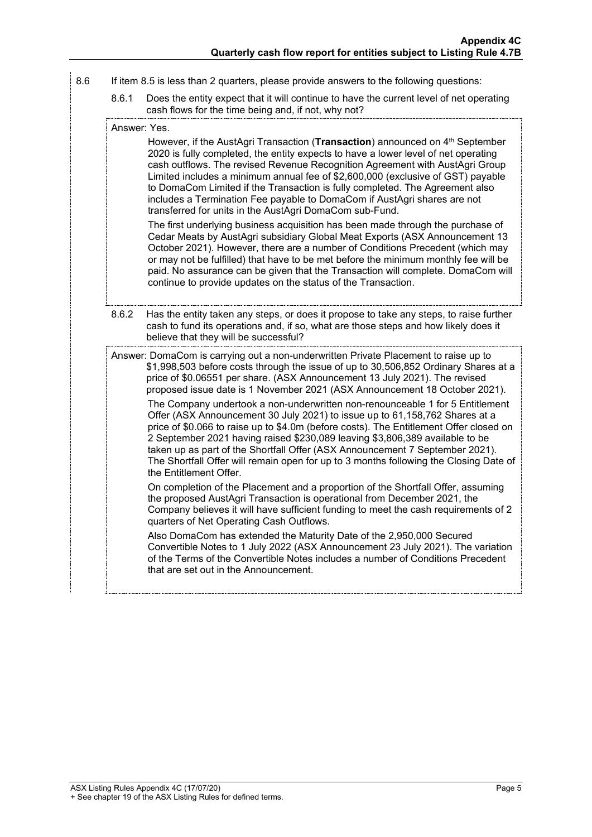- 8.6 If item 8.5 is less than 2 quarters, please provide answers to the following questions:
	- 8.6.1 Does the entity expect that it will continue to have the current level of net operating cash flows for the time being and, if not, why not?

Answer: Yes.

However, if the AustAgri Transaction (**Transaction**) announced on 4<sup>th</sup> September 2020 is fully completed, the entity expects to have a lower level of net operating cash outflows. The revised Revenue Recognition Agreement with AustAgri Group Limited includes a minimum annual fee of \$2,600,000 (exclusive of GST) payable to DomaCom Limited if the Transaction is fully completed. The Agreement also includes a Termination Fee payable to DomaCom if AustAgri shares are not transferred for units in the AustAgri DomaCom sub-Fund.

The first underlying business acquisition has been made through the purchase of Cedar Meats by AustAgri subsidiary Global Meat Exports (ASX Announcement 13 October 2021). However, there are a number of Conditions Precedent (which may or may not be fulfilled) that have to be met before the minimum monthly fee will be paid. No assurance can be given that the Transaction will complete. DomaCom will continue to provide updates on the status of the Transaction.

8.6.2 Has the entity taken any steps, or does it propose to take any steps, to raise further cash to fund its operations and, if so, what are those steps and how likely does it believe that they will be successful?

Answer: DomaCom is carrying out a non-underwritten Private Placement to raise up to \$1,998,503 before costs through the issue of up to 30,506,852 Ordinary Shares at a price of \$0.06551 per share. (ASX Announcement 13 July 2021). The revised proposed issue date is 1 November 2021 (ASX Announcement 18 October 2021).

The Company undertook a non-underwritten non-renounceable 1 for 5 Entitlement Offer (ASX Announcement 30 July 2021) to issue up to 61,158,762 Shares at a price of \$0.066 to raise up to \$4.0m (before costs). The Entitlement Offer closed on 2 September 2021 having raised \$230,089 leaving \$3,806,389 available to be taken up as part of the Shortfall Offer (ASX Announcement 7 September 2021). The Shortfall Offer will remain open for up to 3 months following the Closing Date of the Entitlement Offer.

On completion of the Placement and a proportion of the Shortfall Offer, assuming the proposed AustAgri Transaction is operational from December 2021, the Company believes it will have sufficient funding to meet the cash requirements of 2 quarters of Net Operating Cash Outflows.

Also DomaCom has extended the Maturity Date of the 2,950,000 Secured Convertible Notes to 1 July 2022 (ASX Announcement 23 July 2021). The variation of the Terms of the Convertible Notes includes a number of Conditions Precedent that are set out in the Announcement.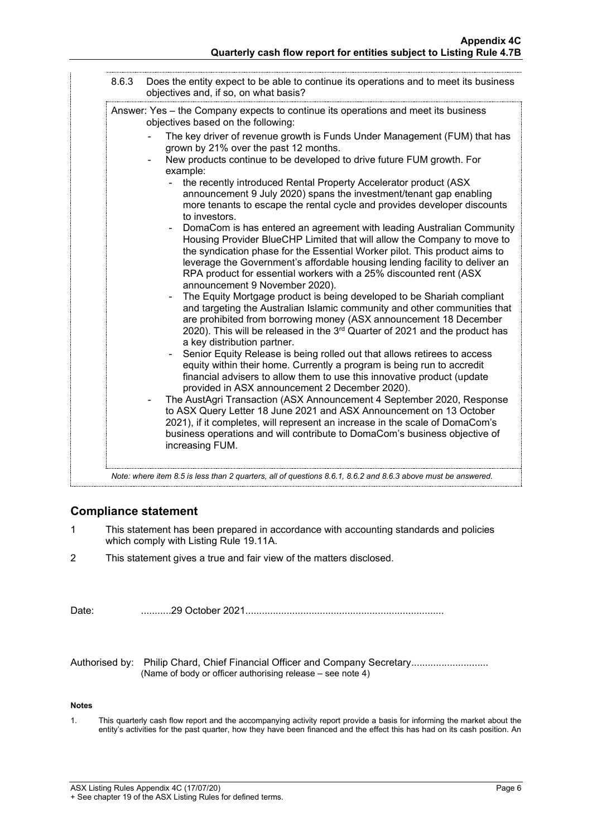| 8.6.3 | Does the entity expect to be able to continue its operations and to meet its business<br>objectives and, if so, on what basis?                                                                                                                                                                                                                                                                                       |
|-------|----------------------------------------------------------------------------------------------------------------------------------------------------------------------------------------------------------------------------------------------------------------------------------------------------------------------------------------------------------------------------------------------------------------------|
|       | Answer: Yes – the Company expects to continue its operations and meet its business<br>objectives based on the following:                                                                                                                                                                                                                                                                                             |
|       | The key driver of revenue growth is Funds Under Management (FUM) that has<br>grown by 21% over the past 12 months.<br>New products continue to be developed to drive future FUM growth. For<br>example:                                                                                                                                                                                                              |
|       | the recently introduced Rental Property Accelerator product (ASX<br>announcement 9 July 2020) spans the investment/tenant gap enabling<br>more tenants to escape the rental cycle and provides developer discounts<br>to investors.                                                                                                                                                                                  |
|       | DomaCom is has entered an agreement with leading Australian Community<br>Housing Provider BlueCHP Limited that will allow the Company to move to<br>the syndication phase for the Essential Worker pilot. This product aims to<br>leverage the Government's affordable housing lending facility to deliver an<br>RPA product for essential workers with a 25% discounted rent (ASX<br>announcement 9 November 2020). |
|       | The Equity Mortgage product is being developed to be Shariah compliant<br>and targeting the Australian Islamic community and other communities that<br>are prohibited from borrowing money (ASX announcement 18 December<br>2020). This will be released in the 3rd Quarter of 2021 and the product has<br>a key distribution partner.                                                                               |
|       | Senior Equity Release is being rolled out that allows retirees to access<br>equity within their home. Currently a program is being run to accredit<br>financial advisers to allow them to use this innovative product (update<br>provided in ASX announcement 2 December 2020).                                                                                                                                      |
|       | The AustAgri Transaction (ASX Announcement 4 September 2020, Response<br>to ASX Query Letter 18 June 2021 and ASX Announcement on 13 October                                                                                                                                                                                                                                                                         |
|       | 2021), if it completes, will represent an increase in the scale of DomaCom's<br>business operations and will contribute to DomaCom's business objective of<br>increasing FUM.                                                                                                                                                                                                                                        |

## **Compliance statement**

- 1 This statement has been prepared in accordance with accounting standards and policies which comply with Listing Rule 19.11A.
- 2 This statement gives a true and fair view of the matters disclosed.

| Date: |  |
|-------|--|
|-------|--|

Authorised by: Philip Chard, Chief Financial Officer and Company Secretary.......................... (Name of body or officer authorising release – see note 4)

### **Notes**

1. This quarterly cash flow report and the accompanying activity report provide a basis for informing the market about the entity's activities for the past quarter, how they have been financed and the effect this has had on its cash position. An